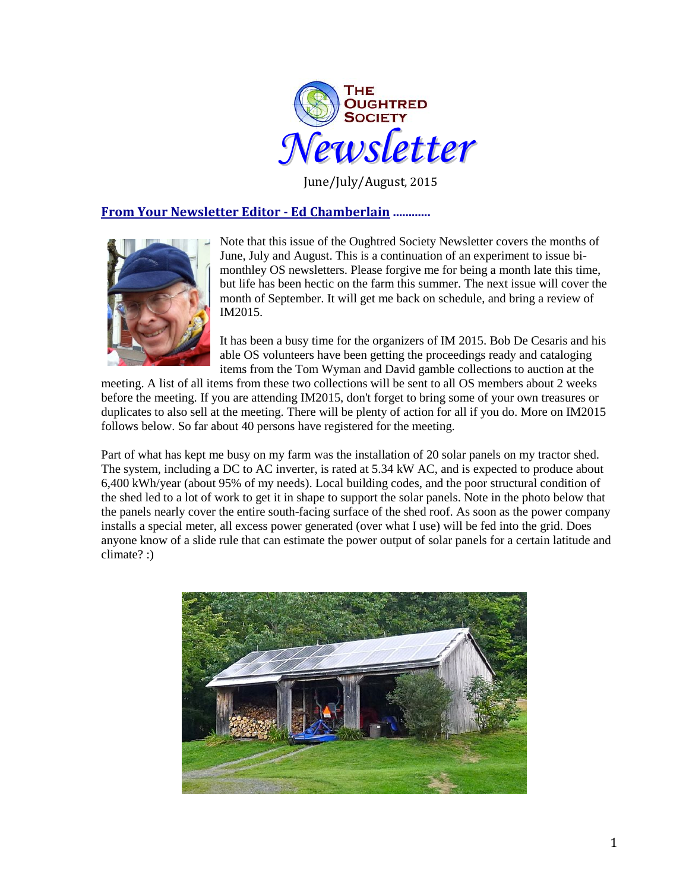

June/July/August, 2015

## **From Your Newsletter Editor - Ed Chamberlain ............**



Note that this issue of the Oughtred Society Newsletter covers the months of June, July and August. This is a continuation of an experiment to issue bimonthley OS newsletters. Please forgive me for being a month late this time, but life has been hectic on the farm this summer. The next issue will cover the month of September. It will get me back on schedule, and bring a review of IM2015.

It has been a busy time for the organizers of IM 2015. Bob De Cesaris and his able OS volunteers have been getting the proceedings ready and cataloging items from the Tom Wyman and David gamble collections to auction at the

meeting. A list of all items from these two collections will be sent to all OS members about 2 weeks before the meeting. If you are attending IM2015, don't forget to bring some of your own treasures or duplicates to also sell at the meeting. There will be plenty of action for all if you do. More on IM2015 follows below. So far about 40 persons have registered for the meeting.

Part of what has kept me busy on my farm was the installation of 20 solar panels on my tractor shed. The system, including a DC to AC inverter, is rated at 5.34 kW AC, and is expected to produce about 6,400 kWh/year (about 95% of my needs). Local building codes, and the poor structural condition of the shed led to a lot of work to get it in shape to support the solar panels. Note in the photo below that the panels nearly cover the entire south-facing surface of the shed roof. As soon as the power company installs a special meter, all excess power generated (over what I use) will be fed into the grid. Does anyone know of a slide rule that can estimate the power output of solar panels for a certain latitude and climate? :)

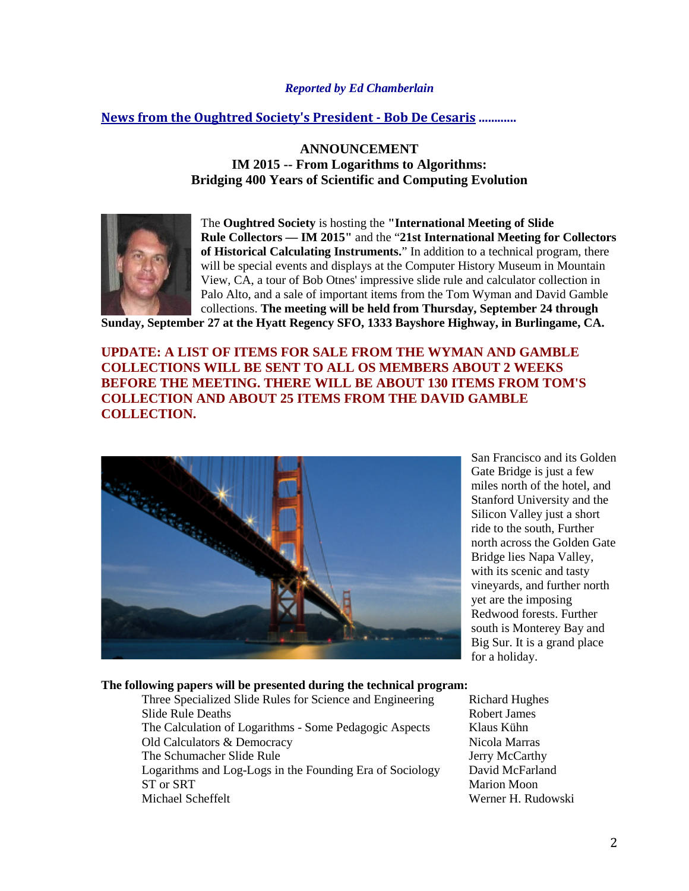## *Reported by Ed Chamberlain*

## **News from the Oughtred Society's President - Bob De Cesaris ............**

**ANNOUNCEMENT IM 2015 -- From Logarithms to Algorithms: Bridging 400 Years of Scientific and Computing Evolution**



The **Oughtred Society** is hosting the **"International Meeting of Slide Rule Collectors — IM 2015"** and the "**21st International Meeting for Collectors of Historical Calculating Instruments.**" In addition to a technical program, there will be special events and displays at the Computer History Museum in Mountain View, CA, a tour of Bob Otnes' impressive slide rule and calculator collection in Palo Alto, and a sale of important items from the Tom Wyman and David Gamble collections. **The meeting will be held from Thursday, September 24 through** 

**Sunday, September 27 at the Hyatt Regency SFO, 1333 Bayshore Highway, in Burlingame, CA.**

## **UPDATE: A LIST OF ITEMS FOR SALE FROM THE WYMAN AND GAMBLE COLLECTIONS WILL BE SENT TO ALL OS MEMBERS ABOUT 2 WEEKS BEFORE THE MEETING. THERE WILL BE ABOUT 130 ITEMS FROM TOM'S COLLECTION AND ABOUT 25 ITEMS FROM THE DAVID GAMBLE COLLECTION.**



San Francisco and its Golden Gate Bridge is just a few miles north of the hotel, and Stanford University and the Silicon Valley just a short ride to the south, Further north across the Golden Gate Bridge lies Napa Valley, with its scenic and tasty vineyards, and further north yet are the imposing Redwood forests. Further south is Monterey Bay and Big Sur. It is a grand place for a holiday.

#### **The following papers will be presented during the technical program:**

Three Specialized Slide Rules for Science and Engineering Richard Hughes Slide Rule Deaths **Robert James** Robert James The Calculation of Logarithms - Some Pedagogic Aspects Klaus Kühn Old Calculators & Democracy Nicola Marras The Schumacher Slide Rule Jerry McCarthy Logarithms and Log-Logs in the Founding Era of Sociology David McFarland ST or SRT Marion Moon Michael Scheffelt Werner H. Rudowski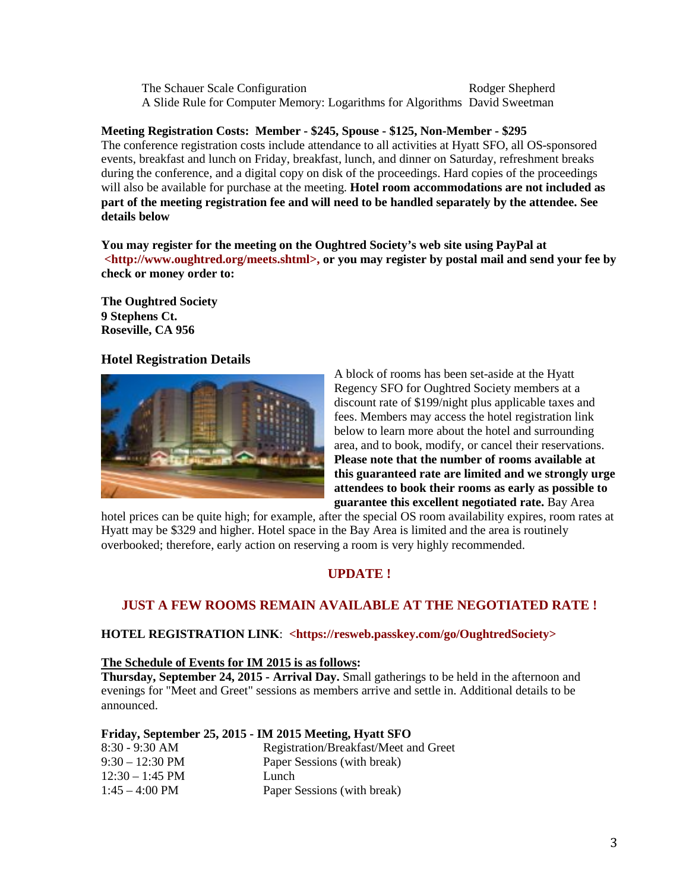The Schauer Scale Configuration The Schauer Scale Configuration A Slide Rule for Computer Memory: Logarithms for Algorithms David Sweetman

## **Meeting Registration Costs: Member - \$245, Spouse - \$125, Non-Member - \$295**

The conference registration costs include attendance to all activities at Hyatt SFO, all OS-sponsored events, breakfast and lunch on Friday, breakfast, lunch, and dinner on Saturday, refreshment breaks during the conference, and a digital copy on disk of the proceedings. Hard copies of the proceedings will also be available for purchase at the meeting. **Hotel room accommodations are not included as part of the meeting registration fee and will need to be handled separately by the attendee. See details below**

**You may register for the meeting on the Oughtred Society's web site using PayPal at <http://www.oughtred.org/meets.shtml>, or you may register by postal mail and send your fee by check or money order to:**

**The Oughtred Society 9 Stephens Ct. Roseville, CA 956**

## **Hotel Registration Details**



A block of rooms has been set-aside at the Hyatt Regency SFO for Oughtred Society members at a discount rate of \$199/night plus applicable taxes and fees. Members may access the hotel registration link below to learn more about the hotel and surrounding area, and to book, modify, or cancel their reservations. **Please note that the number of rooms available at this guaranteed rate are limited and we strongly urge attendees to book their rooms as early as possible to guarantee this excellent negotiated rate.** Bay Area

hotel prices can be quite high; for example, after the special OS room availability expires, room rates at Hyatt may be \$329 and higher. Hotel space in the Bay Area is limited and the area is routinely overbooked; therefore, early action on reserving a room is very highly recommended.

# **UPDATE !**

# **JUST A FEW ROOMS REMAIN AVAILABLE AT THE NEGOTIATED RATE !**

### **HOTEL REGISTRATION LINK**: **<https://resweb.passkey.com/go/OughtredSociety>**

### **The Schedule of Events for IM 2015 is as follows:**

**Thursday, September 24, 2015 - Arrival Day.** Small gatherings to be held in the afternoon and evenings for "Meet and Greet" sessions as members arrive and settle in. Additional details to be announced.

### **Friday, September 25, 2015 - IM 2015 Meeting, Hyatt SFO**

| $8:30 - 9:30$ AM         | Registration/Breakfast/Meet and Greet |
|--------------------------|---------------------------------------|
| $9:30-12:30$ PM          | Paper Sessions (with break)           |
| $12:30 - 1:45$ PM        | Lunch                                 |
| $1:45 - 4:00 \text{ PM}$ | Paper Sessions (with break)           |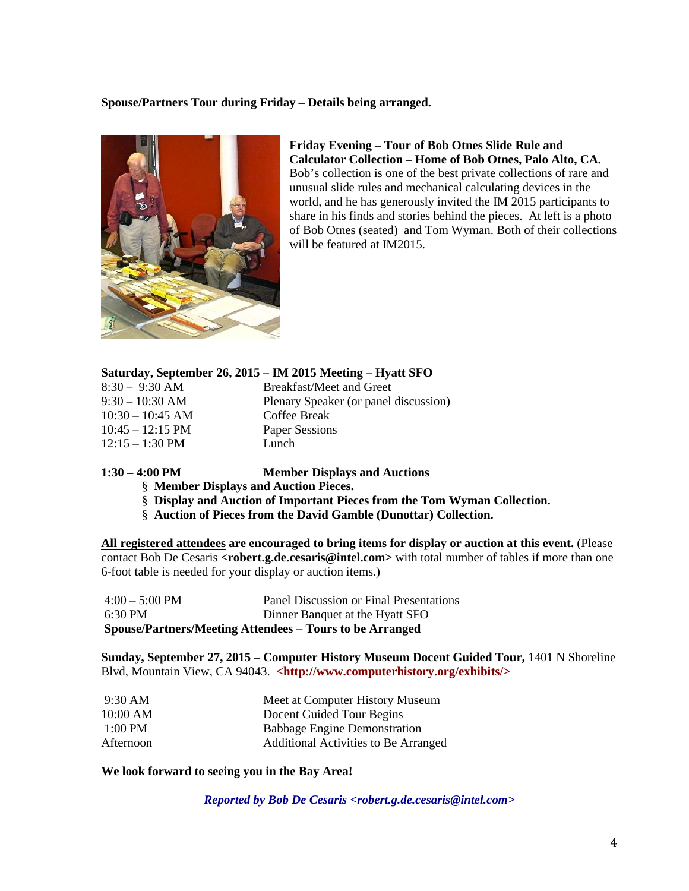### **Spouse/Partners Tour during Friday – Details being arranged.**



**Friday Evening – Tour of Bob Otnes Slide Rule and Calculator Collection – Home of Bob Otnes, Palo Alto, CA.**  Bob's collection is one of the best private collections of rare and unusual slide rules and mechanical calculating devices in the world, and he has generously invited the IM 2015 participants to share in his finds and stories behind the pieces. At left is a photo of Bob Otnes (seated) and Tom Wyman. Both of their collections will be featured at IM2015.

## **Saturday, September 26, 2015 – IM 2015 Meeting – Hyatt SFO**

| $8:30 - 9:30$ AM           | Breakfast/Meet and Greet              |
|----------------------------|---------------------------------------|
| $9:30 - 10:30$ AM          | Plenary Speaker (or panel discussion) |
| $10:30 - 10:45$ AM         | Coffee Break                          |
| $10:45 - 12:15 \text{ PM}$ | Paper Sessions                        |
| $12:15 - 1:30 \text{ PM}$  | Lunch                                 |
|                            |                                       |

**1:30 – 4:00 PM Member Displays and Auctions**

- § **Member Displays and Auction Pieces.**
- § **Display and Auction of Important Pieces from the Tom Wyman Collection.**
- § **Auction of Pieces from the David Gamble (Dunottar) Collection.**

**All registered attendees are encouraged to bring items for display or auction at this event.** (Please contact Bob De Cesaris **<robert.g.de.cesaris@intel.com>** with total number of tables if more than one 6-foot table is needed for your display or auction items.)

| Spouse/Partners/Meeting Attendees – Tours to be Arranged |                                         |  |  |  |
|----------------------------------------------------------|-----------------------------------------|--|--|--|
| $6:30 \text{ PM}$                                        | Dinner Banquet at the Hyatt SFO         |  |  |  |
| $4:00 - 5:00 \text{ PM}$                                 | Panel Discussion or Final Presentations |  |  |  |

**Sunday, September 27, 2015 – Computer History Museum Docent Guided Tour,** 1401 N Shoreline Blvd, Mountain View, CA 94043. **<http://www.computerhistory.org/exhibits/>**

| $9:30 \text{ AM}$ | Meet at Computer History Museum      |
|-------------------|--------------------------------------|
| $10:00$ AM        | Docent Guided Tour Begins            |
| $1:00$ PM         | <b>Babbage Engine Demonstration</b>  |
| Afternoon         | Additional Activities to Be Arranged |

### **We look forward to seeing you in the Bay Area!**

*Reported by Bob De Cesaris <robert.g.de.cesaris@intel.com>*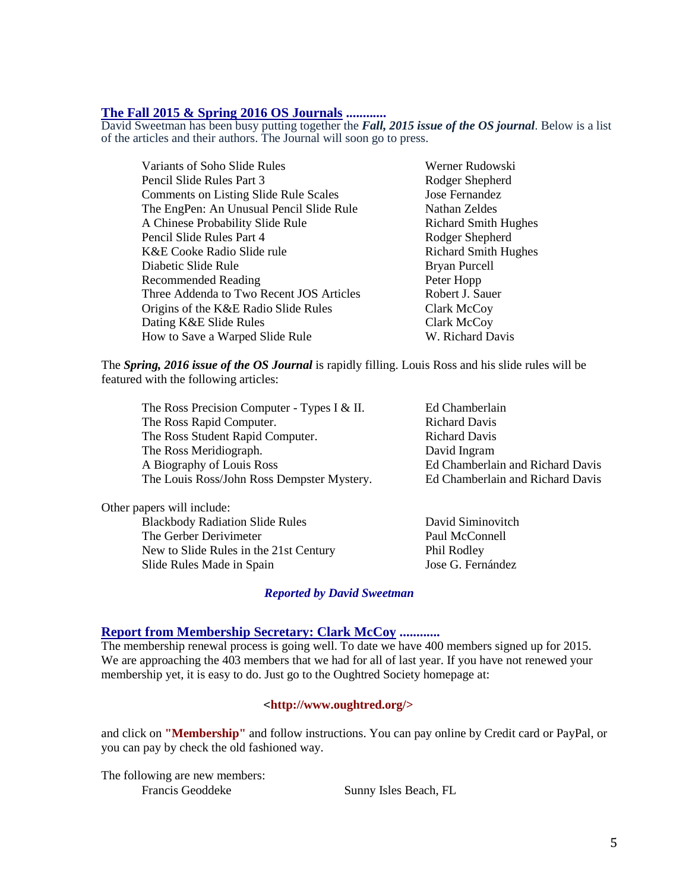**The Fall 2015 & Spring 2016 OS Journals ............** David Sweetman has been busy putting together the *Fall, 2015 issue of the OS journal*. Below is a list of the articles and their authors. The Journal will soon go to press.

| Variants of Soho Slide Rules                 | Werner Rudowski             |
|----------------------------------------------|-----------------------------|
| Pencil Slide Rules Part 3                    | Rodger Shepherd             |
| <b>Comments on Listing Slide Rule Scales</b> | Jose Fernandez              |
| The EngPen: An Unusual Pencil Slide Rule     | Nathan Zeldes               |
| A Chinese Probability Slide Rule             | <b>Richard Smith Hughes</b> |
| Pencil Slide Rules Part 4                    | Rodger Shepherd             |
| K&E Cooke Radio Slide rule                   | <b>Richard Smith Hughes</b> |
| Diabetic Slide Rule                          | Bryan Purcell               |
| Recommended Reading                          | Peter Hopp                  |
| Three Addenda to Two Recent JOS Articles     | Robert J. Sauer             |
| Origins of the K&E Radio Slide Rules         | Clark McCoy                 |
| Dating K&E Slide Rules                       | Clark McCoy                 |
| How to Save a Warped Slide Rule              | W. Richard Davis            |

The *Spring, 2016 issue of the OS Journal* is rapidly filling. Louis Ross and his slide rules will be featured with the following articles:

The Ross Precision Computer - Types I & II. Ed Chamberlain The Ross Rapid Computer. Richard Davis The Ross Student Rapid Computer. Richard Davis The Ross Meridiograph. David Ingram A Biography of Louis Ross Ed Chamberlain and Richard Davis The Louis Ross/John Ross Dempster Mystery. Ed Chamberlain and Richard Davis

Other papers will include: Blackbody Radiation Slide Rules David Siminovitch The Gerber Derivimeter Paul McConnell New to Slide Rules in the 21st Century Phil Rodley Slide Rules Made in Spain Jose G. Fernández

#### *Reported by David Sweetman*

#### **Report from Membership Secretary: Clark McCoy ............**

The membership renewal process is going well. To date we have 400 members signed up for 2015. We are approaching the 403 members that we had for all of last year. If you have not renewed your membership yet, it is easy to do. Just go to the Oughtred Society homepage at:

### <**http://www.oughtred.org/>**

and click on **"Membership"** and follow instructions. You can pay online by Credit card or PayPal, or you can pay by check the old fashioned way.

The following are new members: Francis Geoddeke Sunny Isles Beach, FL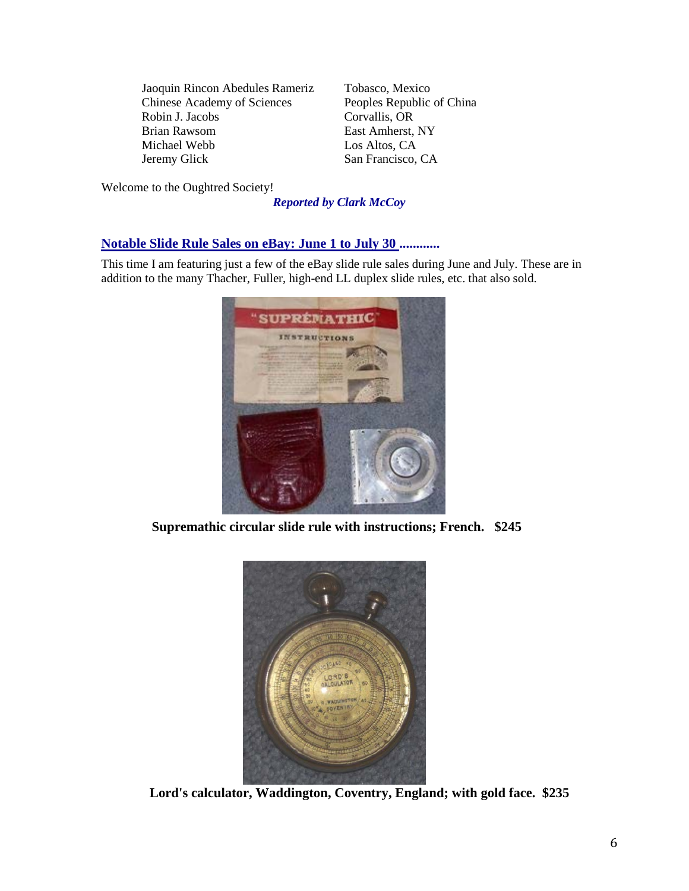Jaoquin Rincon Abedules Rameriz Tobasco, Mexico Chinese Academy of Sciences Peoples Republic of China Robin J. Jacobs Corvallis, OR Brian Rawsom East Amherst, NY Michael Webb Los Altos, CA Jeremy Glick San Francisco, CA

Welcome to the Oughtred Society!

*Reported by Clark McCoy*

## **Notable Slide Rule Sales on eBay: June 1 to July 30 ............**

This time I am featuring just a few of the eBay slide rule sales during June and July. These are in addition to the many Thacher, Fuller, high-end LL duplex slide rules, etc. that also sold.



 **Supremathic circular slide rule with instructions; French. \$245**



**Lord's calculator, Waddington, Coventry, England; with gold face. \$235**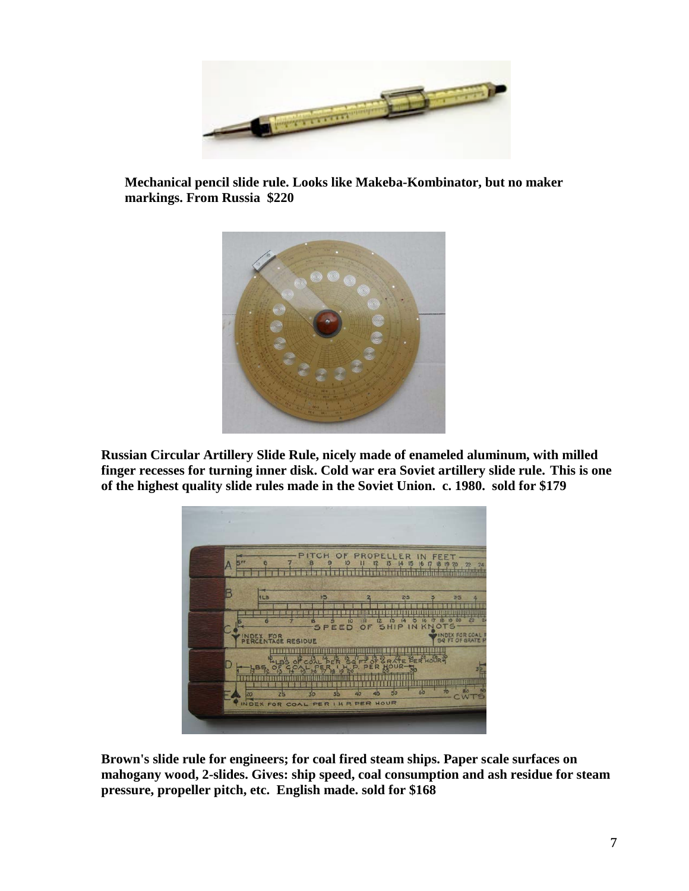

 **Mechanical pencil slide rule. Looks like Makeba-Kombinator, but no maker markings. From Russia \$220**



**Russian Circular Artillery Slide Rule, nicely made of enameled aluminum, with milled finger recesses for turning inner disk. Cold war era Soviet artillery slide rule. This is one of the highest quality slide rules made in the Soviet Union. c. 1980. sold for \$179**



**Brown's slide rule for engineers; for coal fired steam ships. Paper scale surfaces on mahogany wood, 2-slides. Gives: ship speed, coal consumption and ash residue for steam pressure, propeller pitch, etc. English made. sold for \$168**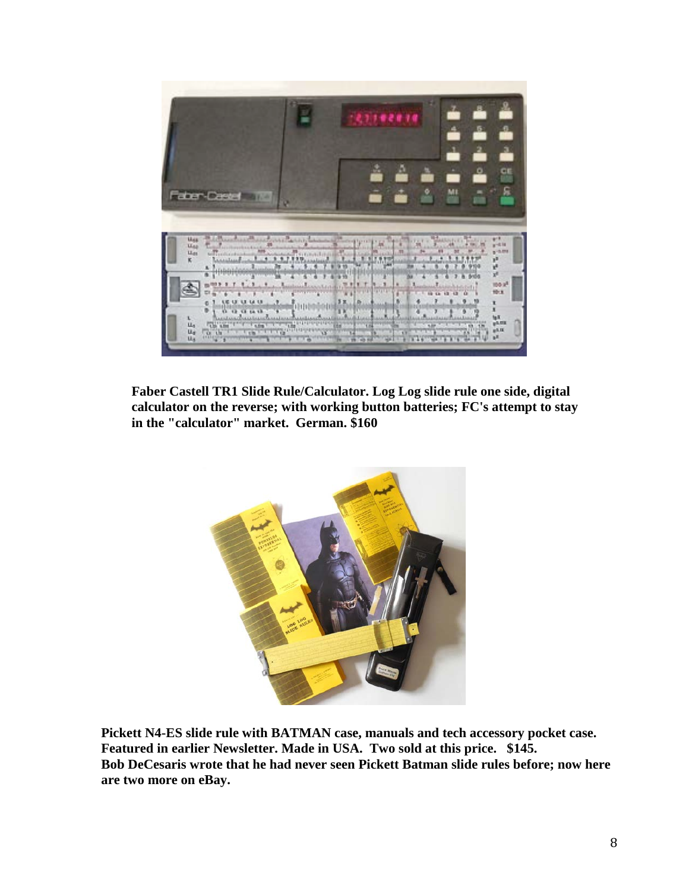

 **Faber Castell TR1 Slide Rule/Calculator. Log Log slide rule one side, digital calculator on the reverse; with working button batteries; FC's attempt to stay in the "calculator" market. German. \$160**



**Pickett N4-ES slide rule with BATMAN case, manuals and tech accessory pocket case. Featured in earlier Newsletter. Made in USA. Two sold at this price. \$145. Bob DeCesaris wrote that he had never seen Pickett Batman slide rules before; now here are two more on eBay.**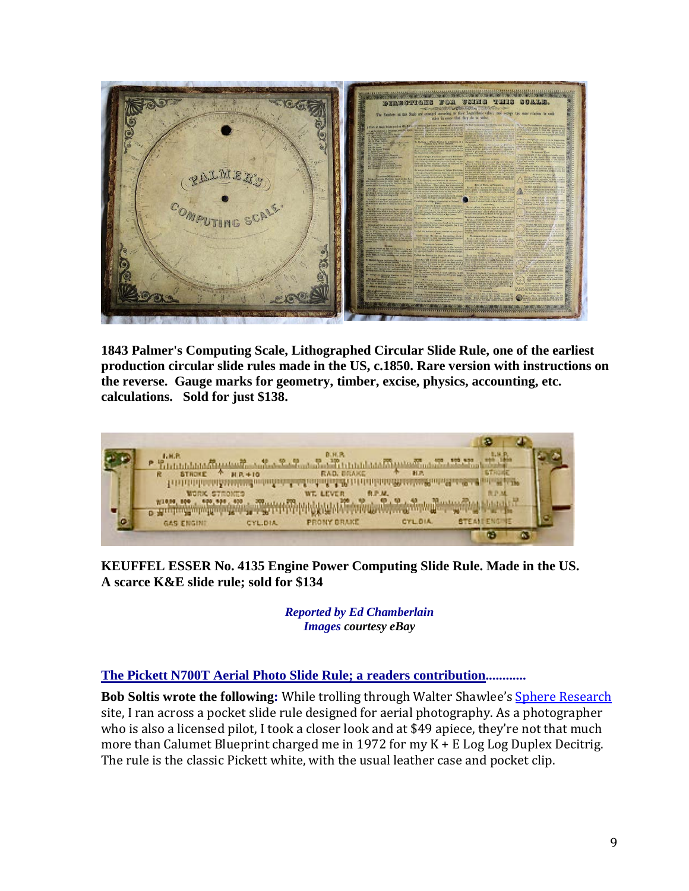

**1843 Palmer's Computing Scale, Lithographed Circular Slide Rule, one of the earliest production circular slide rules made in the US, c.1850. Rare version with instructions on the reverse. Gauge marks for geometry, timber, excise, physics, accounting, etc. calculations. Sold for just \$138.**



**KEUFFEL ESSER No. 4135 Engine Power Computing Slide Rule. Made in the US. A scarce K&E slide rule; sold for \$134**

> *Reported by Ed Chamberlain Images courtesy eBay*

**The Pickett N700T Aerial Photo Slide Rule; a readers contribution............**

**Bob Soltis wrote the following:** While trolling through Walter Shawlee's Sphere Research site, I ran across a pocket slide rule designed for aerial photography. As a photographer who is also a licensed pilot, I took a closer look and at \$49 apiece, they're not that much more than Calumet Blueprint charged me in 1972 for my K + E Log Log Duplex Decitrig. The rule is the classic Pickett white, with the usual leather case and pocket clip.